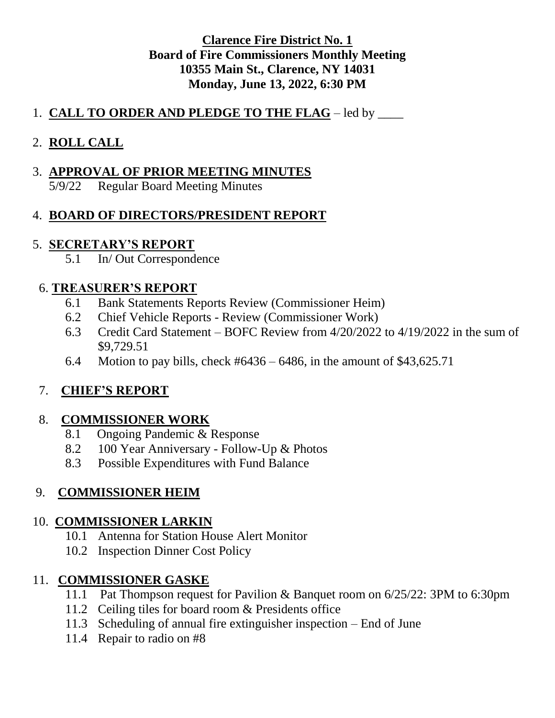#### **Clarence Fire District No. 1 Board of Fire Commissioners Monthly Meeting 10355 Main St., Clarence, NY 14031 Monday, June 13, 2022, 6:30 PM**

#### 1. **CALL TO ORDER AND PLEDGE TO THE FLAG** – led by \_\_\_\_\_

## 2. **ROLL CALL**

#### 3. **APPROVAL OF PRIOR MEETING MINUTES**

5/9/22 Regular Board Meeting Minutes

## 4. **BOARD OF DIRECTORS/PRESIDENT REPORT**

### 5. **SECRETARY'S REPORT**

5.1 In/ Out Correspondence

### 6. **TREASURER'S REPORT**

- 6.1 Bank Statements Reports Review (Commissioner Heim)
- 6.2 Chief Vehicle Reports Review (Commissioner Work)
- 6.3 Credit Card Statement BOFC Review from 4/20/2022 to 4/19/2022 in the sum of \$9,729.51
- 6.4 Motion to pay bills, check #6436 6486, in the amount of \$43,625.71

# 7. **CHIEF'S REPORT**

## 8. **COMMISSIONER WORK**

- 8.1 Ongoing Pandemic & Response
- 8.2 100 Year Anniversary Follow-Up & Photos
- 8.3 Possible Expenditures with Fund Balance

# 9. **COMMISSIONER HEIM**

#### 10. **COMMISSIONER LARKIN**

- 10.1 Antenna for Station House Alert Monitor
- 10.2 Inspection Dinner Cost Policy

## 11. **COMMISSIONER GASKE**

- 11.1 Pat Thompson request for Pavilion & Banquet room on 6/25/22: 3PM to 6:30pm
- 11.2 Ceiling tiles for board room & Presidents office
- 11.3 Scheduling of annual fire extinguisher inspection End of June
- 11.4 Repair to radio on #8